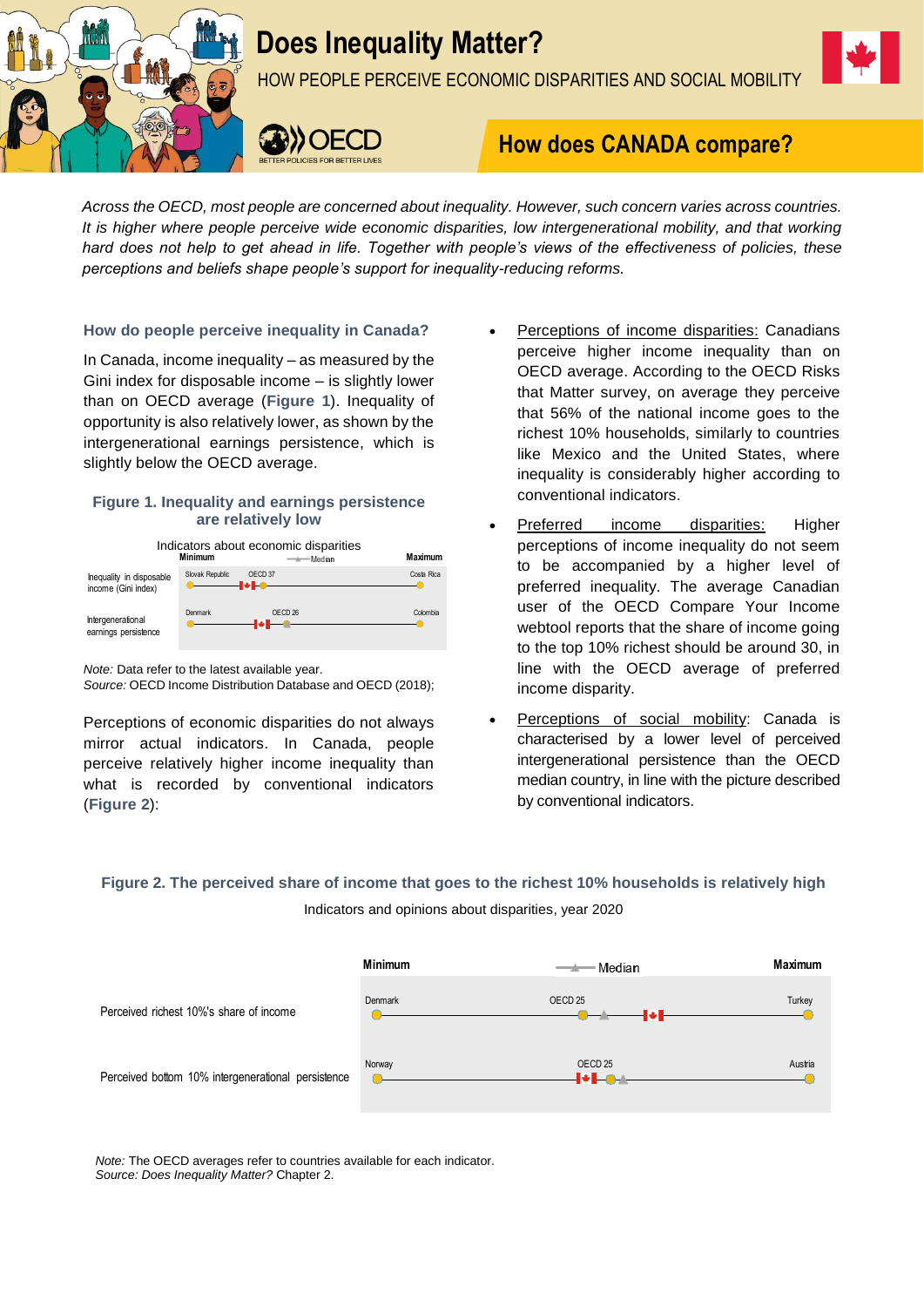

# **Does Inequality Matter?**

HOW PEOPLE PERCEIVE ECONOMIC DISPARITIES AND SOCIAL MOBILITY



# **How does CANADA compare?**

*Across the OECD, most people are concerned about inequality. However, such concern varies across countries. It is higher where people perceive wide economic disparities, low intergenerational mobility, and that working hard does not help to get ahead in life. Together with people's views of the effectiveness of policies, these perceptions and beliefs shape people's support for inequality-reducing reforms.*

**How do people perceive inequality in Canada?**

In Canada, income inequality – as measured by the Gini index for disposable income – is slightly lower than on OECD average (**Figure 1**). Inequality of opportunity is also relatively lower, as shown by the intergenerational earnings persistence, which is slightly below the OECD average.

# **Figure 1. Inequality and earnings persistence are relatively low**

Indicators about economic disparities **Minimum Maximum** Slovak Republic OECD 37 Costa Rica Inequality in disposable income (Gini index) Denmark Colombia Intergenerational -0 earnings persistence

*Note:* Data refer to the latest available year.

*Source:* OECD Income Distribution Database and OECD (2018);

Perceptions of economic disparities do not always mirror actual indicators. In Canada, people perceive relatively higher income inequality than what is recorded by conventional indicators (**Figure 2**):

- Perceptions of income disparities: Canadians perceive higher income inequality than on OECD average. According to the OECD Risks that Matter survey, on average they perceive that 56% of the national income goes to the richest 10% households, similarly to countries like Mexico and the United States, where inequality is considerably higher according to conventional indicators.
- Preferred income disparities: Higher perceptions of income inequality do not seem to be accompanied by a higher level of preferred inequality. The average Canadian user of the OECD Compare Your Income webtool reports that the share of income going to the top 10% richest should be around 30, in line with the OECD average of preferred income disparity.
- Perceptions of social mobility: Canada is characterised by a lower level of perceived intergenerational persistence than the OECD median country, in line with the picture described by conventional indicators.

**Figure 2. The perceived share of income that goes to the richest 10% households is relatively high** Indicators and opinions about disparities, year 2020



*Note:* The OECD averages refer to countries available for each indicator. *Source: Does Inequality Matter?* Chapter 2.